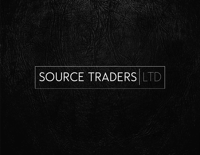# SOURCE TRADERS LTD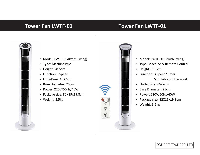## **Tower Fan LWTF-01 Tower Fan LWTF-01**



- Model: LWTF-01A(with Swing)
- Type: MachineType
- Height: 78.5cm
- Function: 3Speed
- OutletSize: 46X7cm
- Base Diameter: 25cm
- Power: 220V/50Hz/40W
- Package size: 82X19x19.8cm
- Weight: 3.5kg



- Model: LWTF-01B (with Swing)
- Type: Machine & Remote Control
- Height: 78.5cm
- Function: 3 Speed/Timer Simulation of the wind
- Outlet Size: 46X7cm
- Base Diameter: 25cm
- Power: 220V/50Hz/40W
- Package size: 82X19x19.8cm
- Weight: 3.5kg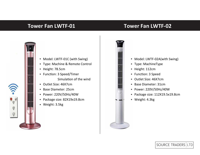### **Tower Fan LWTF-01 Tower Fan LWTF-02**



- Model: LWTF-01C (with Swing)
- Type: Machine & Remote Control
- Height: 78.5cm
- Function: 3 Speed/Timer Simulation of the wind
- Outlet Size: 46X7cm
- Base Diameter: 25cm
- Power: 220V/50Hz/40W
- Package size: 82X19x19.8cm
- Weight: 3.5kg



- Model: LWTF-02A(with Swing)
- Type: MachineType
- Height: 112cm
- Function: 3 Speed
- Outlet Size: 46X7cm
- Base Diameter: 31cm
- Power: 220V/50Hz/40W
- Package size: 112X19.5x19.8cm
- Weight: 4.3kg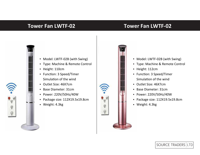### **Tower Fan LWTF-02 Tower Fan LWTF-02**



- Model: LWTF-02B (with Swing)
- Type: Machine & Remote Control
- Height: 110cm
- Function: 3 Speed/Timer Simulation of the wind
- Outlet Size: 46X7cm
- Base Diameter: 31cm
- Power: 220V/50Hz/40W
- Package size: 112X19.5x19.8cm
- Weight: 4.3kg



- Model: LWTF-02B (with Swing)
- Type: Machine & Remote Control
- Height: 112cm
- Function: 3 Speed/Timer Simulation of the wind
- Outlet Size: 46X7cm
- Base Diameter: 31cm
- Power: 220V/50Hz/40W
- Package size: 112X19.5x19.8cm
- Weight: 4.3kg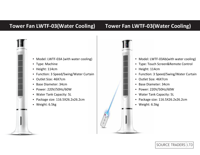# **Tower Fan LWTF-03(Water Cooling) Tower Fan LWTF-03(Water Cooling)**



- Model: LWTF-03A (with water cooling)
- Type: Machine
- Height: 114cm
- Function: 3 Speed/Swing/Water Curtain
- Outlet Size: 46X7cm
- Base Diameter: 34cm
- Power: 220V/50Hz/60W
- Water Tank Capacity: 5L
- Package size: 116.5X26.2x26.2cm
- Weight: 6.5kg

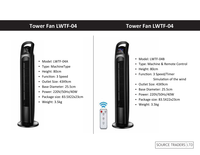### **Tower Fan LWTF-04 Tower Fan LWTF-04**



- Model: LWTF-04A
- Type: MachineType
- Height: 80cm
- Function: 3 Speed
- Outlet Size: 43X9cm
- Base Diameter: 25.5cm
- Power: 220V/50Hz/40W
- Package size: 83.5X22x23cm
- Weight: 3.5kg



- Model: LWTF-04B
- Type: Machine & Remote Control
- Height: 80cm
- Function: 3 Speed/Timer Simulation of the wind
- Outlet Size: 43X9cm
- Base Diameter: 25.5cm
- Power: 220V/50Hz/40W
- Package size: 83.5X22x23cm
- Weight: 3.5kg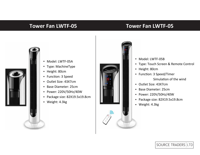### **Tower Fan LWTF-05 Tower Fan LWTF-05**



- Model: LWTF-05A
- Type: MachineType
- Height: 80cm
- Function: 3 Speed
- Outlet Size: 43X7cm
- Base Diameter: 25cm
- Power: 220V/50Hz/40W
- Package size: 82X19.5x19.8cm
- Weight: 4.3kg



- Model: LWTF-05B
- Type: Touch Screen & Remote Control
- Height: 80cm
- Function: 3 Speed/Timer Simulation of the wind
- Outlet Size: 43X7cm
- Base Diameter: 25cm
- Power: 220V/50Hz/40W  $\bullet$
- Package size: 82X19.5x19.8cm
- Weight: 4.3kg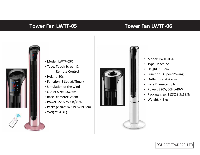### **Tower Fan LWTF-05 Tower Fan LWTF-06**



- Model: LWTF-05C
- Type: Touch Screen & Remote Control
- Height: 80cm
- Function: 3 Speed/Timer/
- Simulation of the wind
- Outlet Size: 43X7cm
- Base Diameter: 25cm
- Power: 220V/50Hz/40W
- Package size: 82X19.5x19.8cm
- Weight: 4.3kg



- Model: LWTF-06A
- Type: Machine
- Height: 110cm
- Function: 3 Speed/Swing
- Outlet Size: 43X7cm
- Base Diameter: 31cm
- Power: 220V/50Hz/40W
- Package size: 112X19.5x19.8cm
- Weight: 4.3kg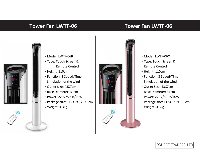### **Tower Fan LWTF-06 Tower Fan LWTF-06**





- Type: Touch Screen & Remote Control
- Height: 110cm
- Function: 3 Speed/Timer Simulation of the wind
- Outlet Size: 43X7cm
- Base Diameter: 31cm
- Power: 220V/50Hz/40W
- Package size: 112X19.5x19.8cm
- Weight: 4.3kg



- Model: LWTF-06C
- Type: Touch Screen & Remote Control
- Height: 110cm
- Function: 3 Speed/Timer Simulation of the wind
- Outlet Size: 43X7cm
- Base Diameter: 31cm
- Power: 220V/50Hz/40W
- Package size: 112X19.5x19.8cm
- Weight: 4.3kg